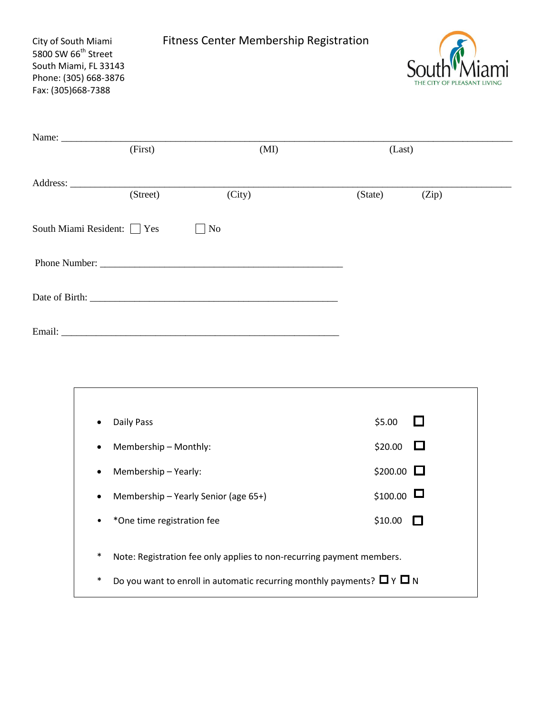| City of South Miami<br>5800 SW 66 <sup>th</sup> Street<br>South Miami, FL 33143<br>Phone: (305) 668-3876<br>Fax: (305)668-7388 |          |                |        | <b>Fitness Center Membership Registration</b> |        | THE CITY OF PLEASANT |
|--------------------------------------------------------------------------------------------------------------------------------|----------|----------------|--------|-----------------------------------------------|--------|----------------------|
|                                                                                                                                |          |                |        |                                               |        |                      |
|                                                                                                                                | (First)  |                | (MI)   |                                               | (Last) |                      |
|                                                                                                                                | (Street) |                | (City) | (State)                                       |        | (Zip)                |
| South Miami Resident: Yes                                                                                                      |          | N <sub>o</sub> |        |                                               |        |                      |
|                                                                                                                                |          |                |        |                                               |        |                      |
|                                                                                                                                |          |                |        |                                               |        |                      |
|                                                                                                                                |          |                |        |                                               |        |                      |

| ٠      | Daily Pass                                                                       | \$5.00          |  |  |
|--------|----------------------------------------------------------------------------------|-----------------|--|--|
| ٠      | Membership - Monthly:                                                            | \$20.00         |  |  |
| ٠      | Membership – Yearly:                                                             | \$200.00 $\Box$ |  |  |
| ٠      | Membership - Yearly Senior (age 65+)                                             | \$100.00        |  |  |
| ٠      | *One time registration fee                                                       | \$10.00         |  |  |
|        |                                                                                  |                 |  |  |
| $\ast$ | Note: Registration fee only applies to non-recurring payment members.            |                 |  |  |
| $\ast$ | Do you want to enroll in automatic recurring monthly payments? $\Box$ Y $\Box$ N |                 |  |  |